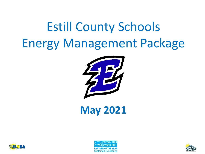# Estill County Schools Energy Management Package



**May 2021**





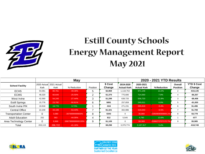

# **Estill County Schools Energy Management Report May 2021**

|                              | <b>May</b>                |                    |                    |                | 2020 - 2021 YTD Results |                                |                                |                   |                            |                              |
|------------------------------|---------------------------|--------------------|--------------------|----------------|-------------------------|--------------------------------|--------------------------------|-------------------|----------------------------|------------------------------|
| <b>School Facility</b>       | 2020 Actual<br><b>Kwh</b> | 2021 Actual<br>Kwh | % Reduction        | Position       | \$ Cost<br>Change       | 2019-2020<br><b>Actual Kwh</b> | 2020-2021<br><b>Actual Kwh</b> | % Reduction       | Overall<br><b>Position</b> | <b>YTD \$ Cost</b><br>Change |
| <b>ECHS</b>                  | 54,061                    | 80,761             | $-49.39%$          | 5              | \$2,969                 | 1,118,753                      | 971,148                        | 13.2%             | 2                          | $-$15,135$                   |
| <b>ECMS</b>                  | 48,320                    | 60.640             | $-25.50%$          | $\overline{2}$ | \$1,370                 | 775,680                        | 714,560                        | 7.9%              |                            | $-$6,267$                    |
| West Irvine                  | 42,560                    | 54.240             | $-27.44%$          | 3              | \$1,299                 | 638,720                        | 556,720                        | 12.8%             | 3                          | -\$8,408                     |
| <b>Estill Springs</b>        | 15,776                    | 23.792             | $-50.81%$          | 6              | \$891                   | 257,859                        | 240,011                        | 6.9%              | 5                          | $-$1,830$                    |
| South Irvine P/K             | 19,916                    | 19.770             | 0.73%              |                | $-$16$                  | 271,231                        | 285,819                        | $-5.4%$           | 6                          | \$1,496                      |
| <b>Central Office</b>        | 22,230                    | 34.108             | $-53.43%$          |                | \$1,321                 | 302,986                        | 319.640                        | $-5.5%$           |                            | \$1,708                      |
| <b>Transportation Center</b> | $\Omega$                  | 3.080              | -3079999999900%    | 8              | \$343                   | $\mathbf 0$                    | 36,860                         | -3350909090809.1% | 8                          | \$3,779                      |
| <b>Adult Education</b>       | 252                       | 363                | $-44.05%$          | 4              | \$12                    | 5,545                          | 4.790                          | 13.6%             |                            | $-577$                       |
| Area Technology Center       | 0                         | 9.968              | -9967999999900.00% | 9              | \$1,109                 | $\mathbf 0$                    | 58,369                         | -5306272727172.7% | 9                          | \$5,985                      |
| Total                        | 203,115                   | 286,722            | $-41.16%$          |                | \$9,298                 | 3,370,774                      | 3,187,917                      | 5.4%              |                            | $-$18,749$                   |





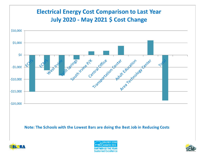





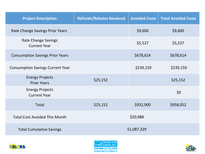| <b>Project Description</b>                        | <b>Refunds/Rebates Received</b> | <b>Avoided Costs</b> | <b>Total Avoided Costs</b> |  |  |
|---------------------------------------------------|---------------------------------|----------------------|----------------------------|--|--|
| Rate Change Savings Prior Years                   |                                 | \$9,600              | \$9,600                    |  |  |
| <b>Rate Change Savings</b><br><b>Current Year</b> |                                 | \$5,527              | \$5,527                    |  |  |
| <b>Consumption Savings Prior Years</b>            |                                 | \$678,614            | \$678,614                  |  |  |
| <b>Consumption Savings Current Year</b>           |                                 | \$239,159            | \$239,159                  |  |  |
| <b>Energy Projects</b><br><b>Prior Years</b>      | \$25,152                        |                      | \$25,152                   |  |  |
| <b>Energy Projects</b><br><b>Current Year</b>     |                                 |                      | \$0                        |  |  |
| <b>Total</b>                                      | \$25,152                        | \$932,900            | \$958,052                  |  |  |
| <b>Total Cost Avoided This Month</b>              |                                 | \$20,988             |                            |  |  |
| <b>Total Cumulative Savings</b>                   | \$1,087,329                     |                      |                            |  |  |





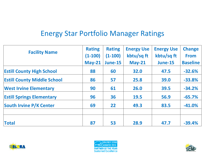#### Energy Star Portfolio Manager Ratings

|                                    | <b>Rating</b> | <b>Rating</b>  | <b>Energy Use</b> | <b>Energy Use</b> | <b>Change</b>   |  |
|------------------------------------|---------------|----------------|-------------------|-------------------|-----------------|--|
| <b>Facility Name</b>               | $(1-100)$     | $(1-100)$      | kbtu/sq ft        | kbtu/sq ft        | <b>From</b>     |  |
|                                    | $May-21$      | <b>June-15</b> | $May-21$          | <b>June-15</b>    | <b>Baseline</b> |  |
| <b>Estill County High School</b>   | 88            | 60             | 32.0              | 47.5              | $-32.6%$        |  |
| <b>Estill County Middle School</b> | 86            | 57             | 25.8              | 39.0              | $-33.8%$        |  |
| <b>West Irvine Elementary</b>      | 90            | 61             | 26.0              | 39.5              | $-34.2%$        |  |
| <b>Estill Springs Elementary</b>   | 96            | 36             | <b>19.5</b>       | 56.9              | $-65.7%$        |  |
| <b>South Irvine P/K Center</b>     | 69            | 22             | 49.3              | 83.5              | $-41.0%$        |  |
| <b>Total</b>                       | 87            | 53             | 28.9              | 47.7              | $-39.4%$        |  |





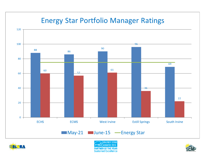### **Energy Star Portfolio Manager Ratings**







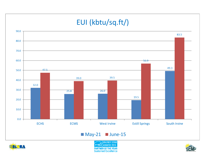## EUI (kbtu/sq.ft/)



#### $May-21$  June-15